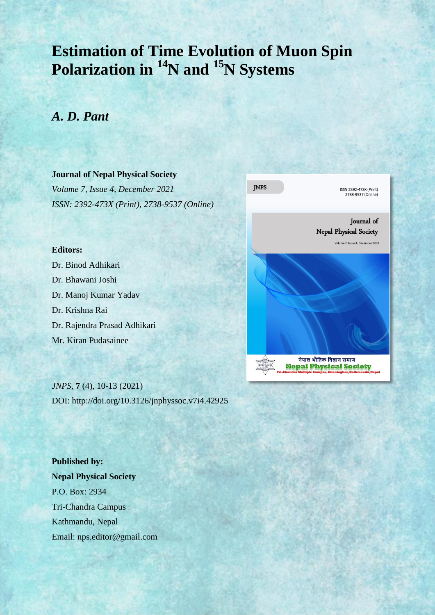# **Estimation of Time Evolution of Muon Spin Polarization in <sup>14</sup>N and <sup>15</sup>N Systems**

## *A. D. Pant*

### **Journal of Nepal Physical Society**

*Volume 7, Issue 4, December 2021 ISSN: 2392-473X (Print), 2738-9537 (Online)*

#### **Editors:**

Dr. Binod Adhikari Dr. Bhawani Joshi Dr. Manoj Kumar Yadav Dr. Krishna Rai Dr. Rajendra Prasad Adhikari Mr. Kiran Pudasainee

*JNPS,* **7** (4), 10-13 (2021) DOI: http://doi.org/10.3126/jnphyssoc.v7i4.42925

**Published by: Nepal Physical Society** P.O. Box: 2934 Tri-Chandra Campus Kathmandu, Nepal Email: nps.editor@gmail.com

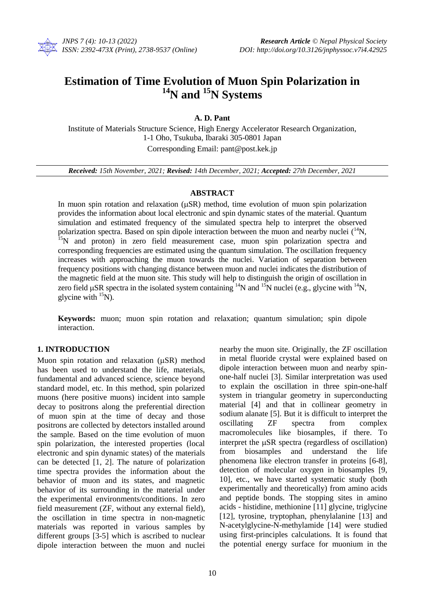

### **Estimation of Time Evolution of Muon Spin Polarization in <sup>14</sup>N and <sup>15</sup>N Systems**

**A. D. Pant**

Institute of Materials Structure Science, High Energy Accelerator Research Organization, 1-1 Oho, Tsukuba, Ibaraki 305-0801 Japan Corresponding Email: pant@post.kek.jp

*Received: 15th November, 2021; Revised: 14th December, 2021; Accepted: 27th December, 2021*

#### **ABSTRACT**

In muon spin rotation and relaxation  $(\mu SR)$  method, time evolution of muon spin polarization provides the information about local electronic and spin dynamic states of the material. Quantum simulation and estimated frequency of the simulated spectra help to interpret the observed polarization spectra. Based on spin dipole interaction between the muon and nearby nuclei (<sup>14</sup>N, <sup>15</sup>N and proton) in zero field measurement case, muon spin polarization spectra and corresponding frequencies are estimated using the quantum simulation. The oscillation frequency increases with approaching the muon towards the nuclei. Variation of separation between frequency positions with changing distance between muon and nuclei indicates the distribution of the magnetic field at the muon site. This study will help to distinguish the origin of oscillation in zero field  $\mu$ SR spectra in the isolated system containing <sup>14</sup>N and <sup>15</sup>N nuclei (e.g., glycine with <sup>14</sup>N, glycine with  $^{15}$ N).

**Keywords:** muon; muon spin rotation and relaxation; quantum simulation; spin dipole interaction.

#### **1. INTRODUCTION**

Muon spin rotation and relaxation  $(\mu SR)$  method has been used to understand the life, materials, fundamental and advanced science, science beyond standard model, etc. In this method, spin polarized muons (here positive muons) incident into sample decay to positrons along the preferential direction of muon spin at the time of decay and those positrons are collected by detectors installed around the sample. Based on the time evolution of muon spin polarization, the interested properties (local electronic and spin dynamic states) of the materials can be detected [1, 2]. The nature of polarization time spectra provides the information about the behavior of muon and its states, and magnetic behavior of its surrounding in the material under the experimental environments/conditions. In zero field measurement (ZF, without any external field), the oscillation in time spectra in non-magnetic materials was reported in various samples by different groups [3-5] which is ascribed to nuclear dipole interaction between the muon and nuclei

nearby the muon site. Originally, the ZF oscillation in metal fluoride crystal were explained based on dipole interaction between muon and nearby spinone-half nuclei [3]. Similar interpretation was used to explain the oscillation in three spin-one-half system in triangular geometry in superconducting material [4] and that in collinear geometry in sodium alanate [5]. But it is difficult to interpret the oscillating ZF spectra from complex macromolecules like biosamples, if there. To interpret the  $\mu$ SR spectra (regardless of oscillation) from biosamples and understand the life phenomena like electron transfer in proteins [6-8], detection of molecular oxygen in biosamples [9, 10], etc., we have started systematic study (both experimentally and theoretically) from amino acids and peptide bonds. The stopping sites in amino acids - histidine, methionine [11] glycine, triglycine [12], tyrosine, tryptophan, phenylalanine [13] and N-acetylglycine-N-methylamide [14] were studied using first-principles calculations. It is found that the potential energy surface for muonium in the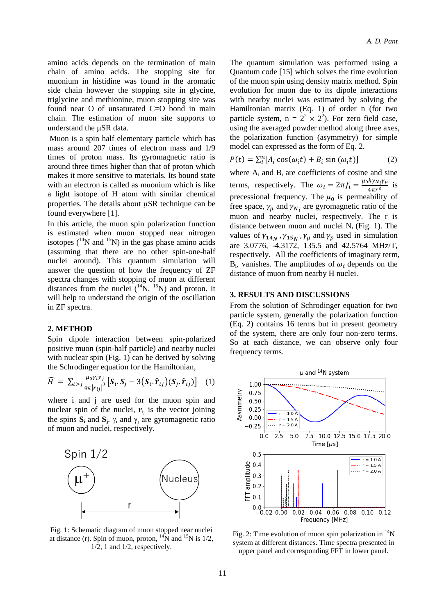amino acids depends on the termination of main chain of amino acids. The stopping site for muonium in histidine was found in the aromatic side chain however the stopping site in glycine, triglycine and methionine, muon stopping site was found near O of unsaturated C=O bond in main chain. The estimation of muon site supports to understand the µSR data.

Muon is a spin half elementary particle which has mass around 207 times of electron mass and 1/9 times of proton mass. Its gyromagnetic ratio is around three times higher than that of proton which makes it more sensitive to materials. Its bound state with an electron is called as muonium which is like a light isotope of H atom with similar chemical properties. The details about  $\mu$ SR technique can be found everywhere [1].

In this article, the muon spin polarization function is estimated when muon stopped near nitrogen isotopes  $(^{14}N$  and  $^{15}N$ ) in the gas phase amino acids (assuming that there are no other spin-one-half nuclei around). This quantum simulation will answer the question of how the frequency of ZF spectra changes with stopping of muon at different distances from the nuclei  $({}^{14}N, {}^{15}N)$  and proton. It will help to understand the origin of the oscillation in ZF spectra.

#### **2. METHOD**

Spin dipole interaction between spin-polarized positive muon (spin-half particle) and nearby nuclei with nuclear spin (Fig. 1) can be derived by solving the Schrodinger equation for the Hamiltonian,

$$
\widehat{H} = \sum_{i>j} \frac{\mu_0 \gamma_i \gamma_j}{4\pi |r_{ij}|^3} \left[ \boldsymbol{S}_i \cdot \boldsymbol{S}_j - 3 \left( \boldsymbol{S}_i \cdot \hat{\boldsymbol{r}}_{ij} \right) \left( \boldsymbol{S}_j \cdot \hat{\boldsymbol{r}}_{ij} \right) \right] \tag{1}
$$

where i and j are used for the muon spin and nuclear spin of the nuclei,  $\mathbf{r}_{ij}$  is the vector joining the spins  $S_i$  and  $S_j$ .  $\gamma_i$  and  $\gamma_j$  are gyromagnetic ratio of muon and nuclei, respectively.



Fig. 1: Schematic diagram of muon stopped near nuclei at distance (r). Spin of muon, proton,  $^{14}N$  and  $^{15}N$  is 1/2, 1/2, 1 and 1/2, respectively.

The quantum simulation was performed using a Quantum code [15] which solves the time evolution of the muon spin using density matrix method. Spin evolution for muon due to its dipole interactions with nearby nuclei was estimated by solving the Hamiltonian matrix (Eq. 1) of order n (for two particle system,  $n = 2^2 \times 2^2$ ). For zero field case, using the averaged powder method along three axes, the polarization function (asymmetry) for simple model can expressed as the form of Eq. 2.

$$
P(t) = \sum_{i}^{n} [A_i \cos(\omega_i t) + B_i \sin(\omega_i t)] \tag{2}
$$

where  $A_i$  and  $B_i$  are coefficients of cosine and sine terms, respectively. The  $\omega_i = 2\pi f_i = \frac{\mu_0 \hbar v_{Ni} \gamma}{4\pi r^3}$  $\frac{n r N_i r \mu}{4 \pi r^3}$  is precessional frequency. The  $\mu_0$  is permeability of free space,  $\gamma_{\mu}$  and  $\gamma_{N_i}$  are gyromagnetic ratio of the muon and nearby nuclei, respectively. The r is distance between muon and nuclei  $N_i$  (Fig. 1). The values of  $\gamma_{14N}$ ,  $\gamma_{15N}$ ,  $\gamma_{\mu}$  and  $\gamma_{\eta}$  used in simulation are 3.0776, -4.3172, 135.5 and 42.5764 MHz/T, respectively. All the coefficients of imaginary term,  $B_i$ , vanishes. The amplitudes of  $\omega_i$  depends on the distance of muon from nearby H nuclei.

#### **3. RESULTS AND DISCUSSIONS**

From the solution of Schrodinger equation for two particle system, generally the polarization function (Eq. 2) contains 16 terms but in present geometry of the system, there are only four non-zero terms. So at each distance, we can observe only four frequency terms.



Fig. 2: Time evolution of muon spin polarization in  $\mathrm{^{14}N}$ system at different distances. Time spectra presented in upper panel and corresponding FFT in lower panel.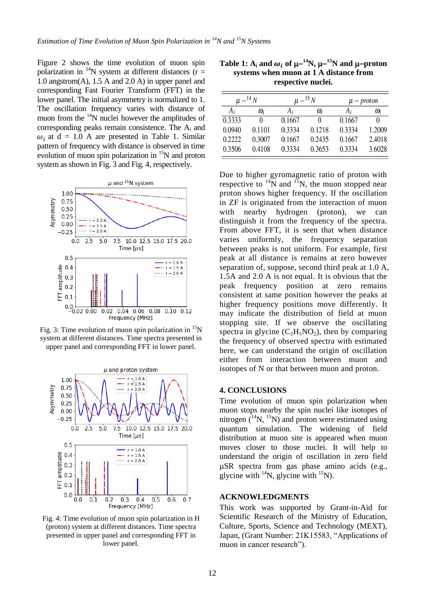Figure 2 shows the time evolution of muon spin polarization in <sup>14</sup>N system at different distances ( $\mathbf{r} =$ 1.0 angstrom(A), 1.5 A and 2.0 A) in upper panel and corresponding Fast Fourier Transform (FFT) in the lower panel. The initial asymmetry is normalized to 1. The oscillation frequency varies with distance of muon from the  $14N$  nuclei however the amplitudes of corresponding peaks remain consistence. The A<sup>i</sup> and  $\omega_i$  at d = 1.0 A are presented in Table 1. Similar pattern of frequency with distance is observed in time evolution of muon spin polarization in  ${}^{15}N$  and proton system as shown in Fig. 3 and Fig. 4, respectively.



Fig. 3: Time evolution of muon spin polarization in  $^{15}N$ system at different distances. Time spectra presented in upper panel and corresponding FFT in lower panel.



Fig. 4: Time evolution of muon spin polarization in H (proton) system at different distances. Time spectra presented in upper panel and corresponding FFT in lower panel.

| Table 1: A <sub>i</sub> and $\omega_i$ of $\mu$ <sup>-14</sup> N, $\mu$ <sup>-15</sup> N and $\mu$ -proton |  |  |  |  |  |
|------------------------------------------------------------------------------------------------------------|--|--|--|--|--|
| systems when muon at 1 A distance from                                                                     |  |  |  |  |  |
| respective nuclei.                                                                                         |  |  |  |  |  |

| $\mu-^{14}N$ |        | $\mu-^{15}N$ |        | $\mu$ – proton |            |
|--------------|--------|--------------|--------|----------------|------------|
| $A_i$        | Wi     | Ai           | Wi     | Ai             | $\omega_i$ |
| 0.3333       | 0      | 0.1667       | 0      | 0.1667         | 0          |
| 0.0940       | 0.1101 | 0.3334       | 0.1218 | 0.3334         | 1.2009     |
| 0.2222       | 0.3007 | 0.1667       | 0.2435 | 0.1667         | 2.4018     |
| 0.3506       | 0.4108 | 0.3334       | 0.3653 | 0.3334         | 3.6028     |

Due to higher gyromagnetic ratio of proton with respective to  $^{14}$ N and  $^{15}$ N, the muon stopped near proton shows higher frequency. If the oscillation in ZF is originated from the interaction of muon with nearby hydrogen (proton), we can distinguish it from the frequency of the spectra. From above FFT, it is seen that when distance varies uniformly, the frequency separation between peaks is not uniform. For example, first peak at all distance is remains at zero however separation of, suppose, second third peak at 1.0 A, 1.5A and 2.0 A is not equal. It is obvious that the peak frequency position at zero remains consistent at same position however the peaks at higher frequency positions move differently. It may indicate the distribution of field at muon stopping site. If we observe the oscillating spectra in glycine  $(C_2H_5NO_2)$ , then by comparing the frequency of observed spectra with estimated here, we can understand the origin of oscillation either from interaction between muon and isotopes of N or that between muon and proton.

#### **4. CONCLUSIONS**

Time evolution of muon spin polarization when muon stops nearby the spin nuclei like isotopes of nitrogen  $(^{14}N, ^{15}N)$  and proton were estimated using quantum simulation. The widening of field distribution at muon site is appeared when muon moves closer to those nuclei. It will help to understand the origin of oscillation in zero field  $\mu$ SR spectra from gas phase amino acids (e.g., glycine with  $^{14}$ N, glycine with  $^{15}$ N).

#### **ACKNOWLEDGMENTS**

This work was supported by Grant-in-Aid for Scientific Research of the Ministry of Education, Culture, Sports, Science and Technology (MEXT), Japan, (Grant Number: 21K15583, "Applications of muon in cancer research").